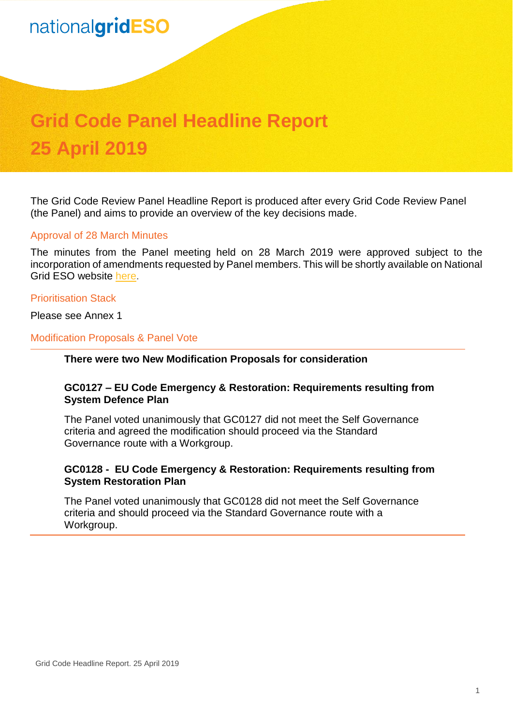# nationalgridESO

# **Grid Code Panel Headline Report 25 April 2019**

The Grid Code Review Panel Headline Report is produced after every Grid Code Review Panel (the Panel) and aims to provide an overview of the key decisions made.

#### Approval of 28 March Minutes

The minutes from the Panel meeting held on 28 March 2019 were approved subject to the incorporation of amendments requested by Panel members. This will be shortly available on National Grid ESO website [here.](https://www.nationalgrideso.com/codes/grid-code/meetings/grid-code-panel-28-march-2019)

#### Prioritisation Stack

Please see Annex 1

#### Modification Proposals & Panel Vote

#### **There were two New Modification Proposals for consideration**

## **GC0127 – EU Code Emergency & Restoration: Requirements resulting from System Defence Plan**

The Panel voted unanimously that GC0127 did not meet the Self Governance criteria and agreed the modification should proceed via the Standard Governance route with a Workgroup.

### **GC0128 - EU Code Emergency & Restoration: Requirements resulting from System Restoration Plan**

The Panel voted unanimously that GC0128 did not meet the Self Governance criteria and should proceed via the Standard Governance route with a Workgroup.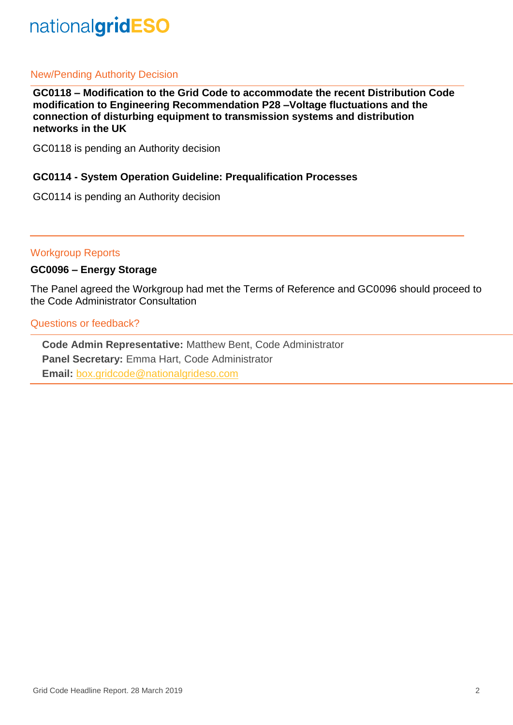# nationalgridESO

# New/Pending Authority Decision

**GC0118 – Modification to the Grid Code to accommodate the recent Distribution Code modification to Engineering Recommendation P28 –Voltage fluctuations and the connection of disturbing equipment to transmission systems and distribution networks in the UK**

GC0118 is pending an Authority decision

## **GC0114 - System Operation Guideline: Prequalification Processes**

GC0114 is pending an Authority decision

Workgroup Reports

# **GC0096 – Energy Storage**

The Panel agreed the Workgroup had met the Terms of Reference and GC0096 should proceed to the Code Administrator Consultation

Questions or feedback?

**Code Admin Representative:** Matthew Bent, Code Administrator **Panel Secretary:** Emma Hart, Code Administrator **Email:** [box.gridcode@nationalgrideso.com](mailto:box.gridcode@nationalgrideso.com)